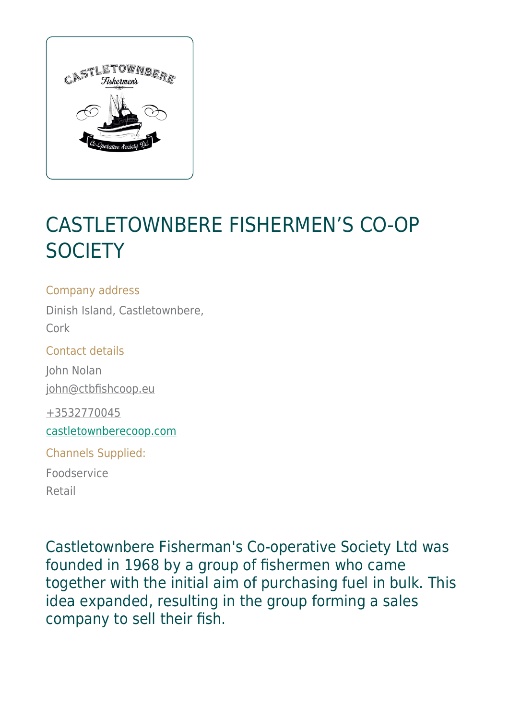

# CASTLETOWNBERE FISHERMEN'S CO-OP **SOCIETY**

Company address

Dinish Island, Castletownbere, Cork

Contact details

John Nolan [john@ctbfishcoop.eu](mailto:john@ctbfishcoop.eu)

[+3532770045](#page--1-0) [castletownberecoop.com](http://www.castletownberecoop.com)

Channels Supplied:

Foodservice Retail

Castletownbere Fisherman's Co-operative Society Ltd was founded in 1968 by a group of fishermen who came together with the initial aim of purchasing fuel in bulk. This idea expanded, resulting in the group forming a sales company to sell their fish.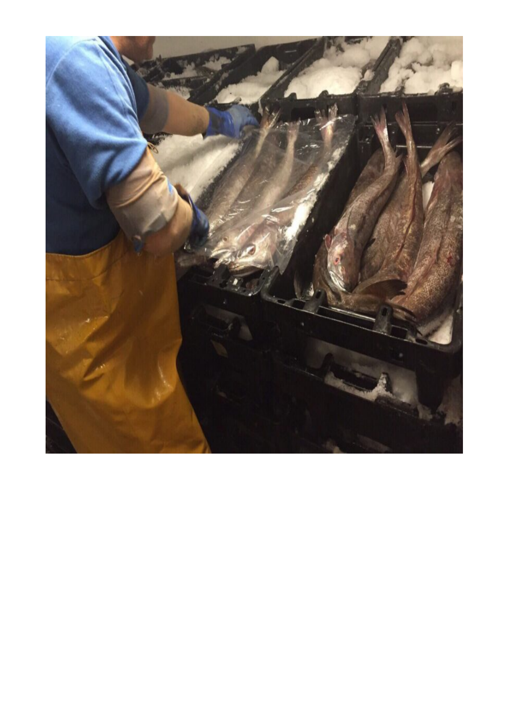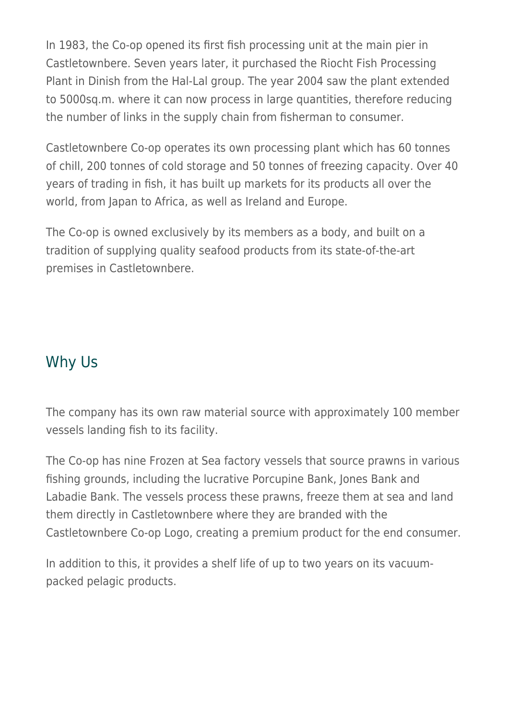In 1983, the Co-op opened its first fish processing unit at the main pier in Castletownbere. Seven years later, it purchased the Riocht Fish Processing Plant in Dinish from the Hal-Lal group. The year 2004 saw the plant extended to 5000sq.m. where it can now process in large quantities, therefore reducing the number of links in the supply chain from fisherman to consumer.

Castletownbere Co-op operates its own processing plant which has 60 tonnes of chill, 200 tonnes of cold storage and 50 tonnes of freezing capacity. Over 40 years of trading in fish, it has built up markets for its products all over the world, from Japan to Africa, as well as Ireland and Europe.

The Co-op is owned exclusively by its members as a body, and built on a tradition of supplying quality seafood products from its state-of-the-art premises in Castletownbere.

## Why Us

The company has its own raw material source with approximately 100 member vessels landing fish to its facility.

The Co-op has nine Frozen at Sea factory vessels that source prawns in various fishing grounds, including the lucrative Porcupine Bank, Jones Bank and Labadie Bank. The vessels process these prawns, freeze them at sea and land them directly in Castletownbere where they are branded with the Castletownbere Co-op Logo, creating a premium product for the end consumer.

In addition to this, it provides a shelf life of up to two years on its vacuumpacked pelagic products.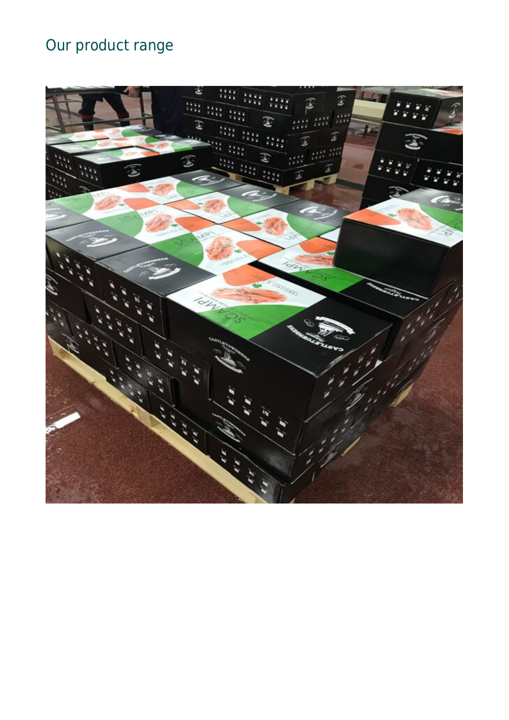# Our product range

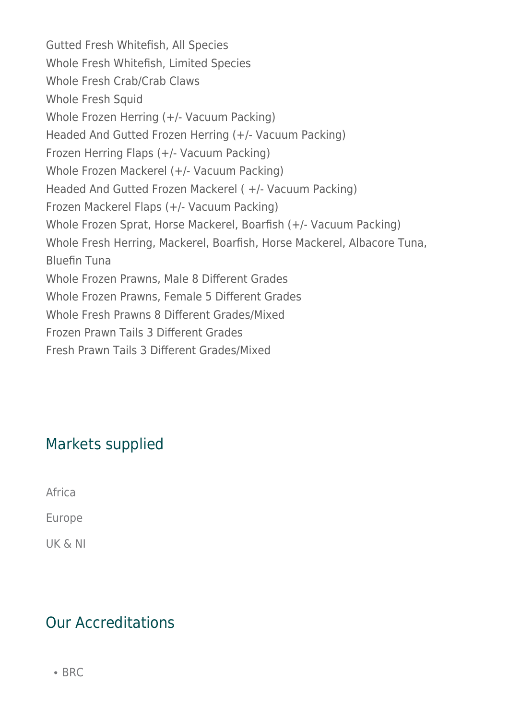Gutted Fresh Whitefish, All Species Whole Fresh Whitefish, Limited Species Whole Fresh Crab/Crab Claws Whole Fresh Squid Whole Frozen Herring (+/- Vacuum Packing) Headed And Gutted Frozen Herring (+/- Vacuum Packing) Frozen Herring Flaps (+/- Vacuum Packing) Whole Frozen Mackerel (+/- Vacuum Packing) Headed And Gutted Frozen Mackerel ( +/- Vacuum Packing) Frozen Mackerel Flaps (+/- Vacuum Packing) Whole Frozen Sprat, Horse Mackerel, Boarfish (+/- Vacuum Packing) Whole Fresh Herring, Mackerel, Boarfish, Horse Mackerel, Albacore Tuna, Bluefin Tuna Whole Frozen Prawns, Male 8 Different Grades Whole Frozen Prawns, Female 5 Different Grades Whole Fresh Prawns 8 Different Grades/Mixed Frozen Prawn Tails 3 Different Grades Fresh Prawn Tails 3 Different Grades/Mixed

#### Markets supplied

Africa

Europe

UK & NI

## Our Accreditations

 $-BRC$